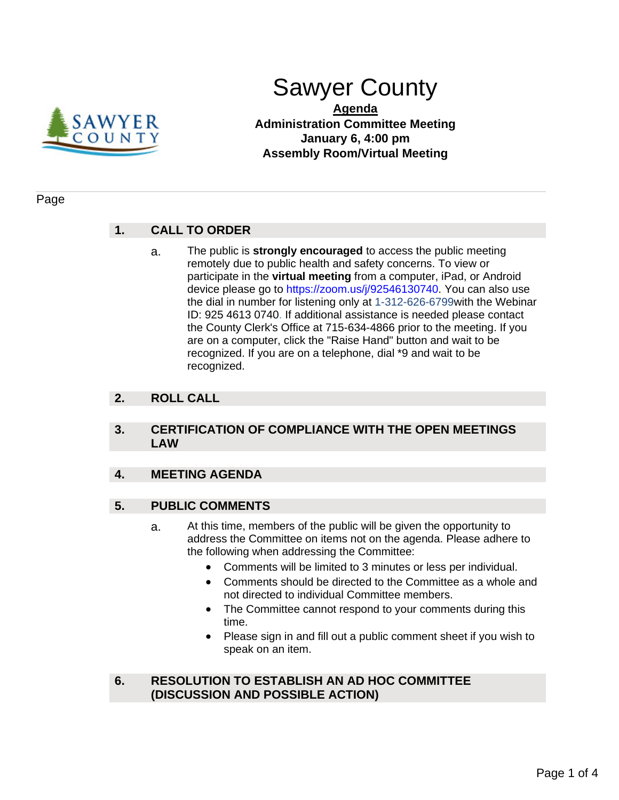

# Sawyer County

**Agenda Administration Committee Meeting January 6, 4:00 pm Assembly Room/Virtual Meeting**

#### Page

## **1. CALL TO ORDER**

a. The public is **strongly encouraged** to access the public meeting remotely due to public health and safety concerns. To view or participate in the **virtual meeting** from a computer, iPad, or Android device please go to https://zoom.us/j/92546130740. You can also use the dial in number for listening only at 1-312-626-6799with the Webinar ID: 925 4613 0740. If additional assistance is needed please contact the County Clerk's Office at 715-634-4866 prior to the meeting. If you are on a computer, click the "Raise Hand" button and wait to be recognized. If you are on a telephone, dial \*9 and wait to be recognized.

## **2. ROLL CALL**

#### **3. CERTIFICATION OF COMPLIANCE WITH THE OPEN MEETINGS LAW**

## **4. MEETING AGENDA**

## **5. PUBLIC COMMENTS**

- a. At this time, members of the public will be given the opportunity to address the Committee on items not on the agenda. Please adhere to the following when addressing the Committee:
	- Comments will be limited to 3 minutes or less per individual.
	- Comments should be directed to the Committee as a whole and not directed to individual Committee members.
	- The Committee cannot respond to your comments during this time.
	- Please sign in and fill out a public comment sheet if you wish to speak on an item.

## **6. RESOLUTION TO ESTABLISH AN AD HOC COMMITTEE (DISCUSSION AND POSSIBLE ACTION)**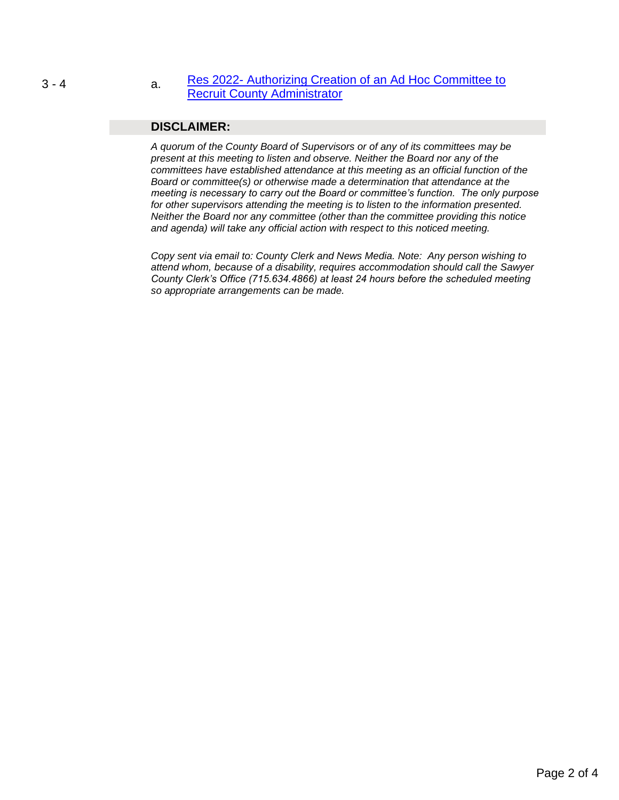#### 3 - 4 a. Res 2022- Authorizing Creation of an Ad Hoc Committee to [Recruit County Administrator](#page-2-0)

#### **DISCLAIMER:**

*A quorum of the County Board of Supervisors or of any of its committees may be present at this meeting to listen and observe. Neither the Board nor any of the committees have established attendance at this meeting as an official function of the Board or committee(s) or otherwise made a determination that attendance at the meeting is necessary to carry out the Board or committee's function. The only purpose for other supervisors attending the meeting is to listen to the information presented. Neither the Board nor any committee (other than the committee providing this notice and agenda) will take any official action with respect to this noticed meeting.* 

*Copy sent via email to: County Clerk and News Media. Note: Any person wishing to attend whom, because of a disability, requires accommodation should call the Sawyer County Clerk's Office (715.634.4866) at least 24 hours before the scheduled meeting so appropriate arrangements can be made.*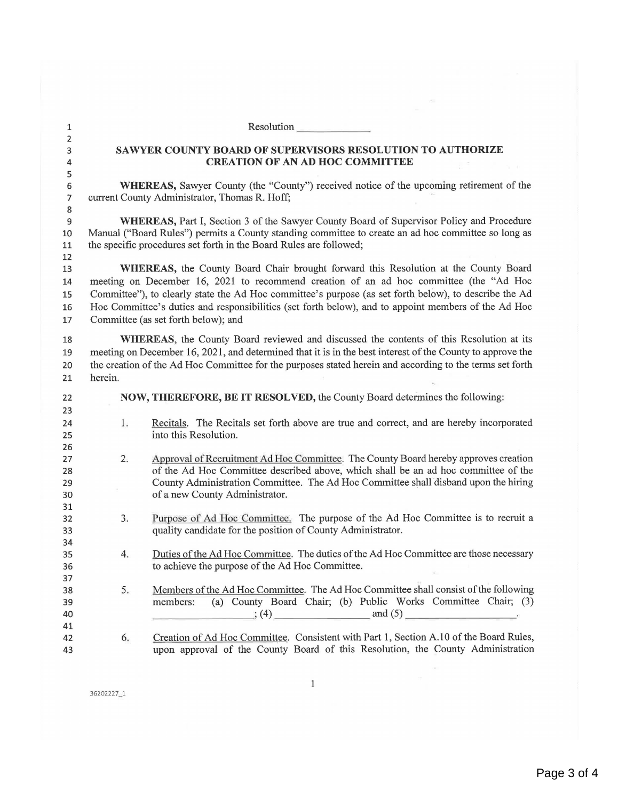<span id="page-2-0"></span>1<br>Resolution Resolution 2 3 **SA WYER COUNTY BOARD OF SUPERVISORS RESOLUTION TO AUTHORIZE**  4 **CREATION OF AN AD HOC COMMITTEE**  5 6 **WHEREAS,** Sawyer County (the "County") received notice of the upcoming retirement of the 7 current County Administrator, Thomas R. Hoff; 8 9 **WHEREAS,** Part I, Section 3 of the Sawyer County Board of Supervisor Policy and Procedure 10 Manual ("Board Rules") permits a County standing committee to create an ad hoc committee so long as 11 the specific procedures set forth in the Board Rules are followed; 12 13 **WHEREAS,** the County Board Chair brought forward this Resolution at the County Board 14 meeting on December 16, 2021 to recommend creation of an ad hoc committee (the "Ad Hoc 15 Committee"), to clearly state the Ad Hoc committee's purpose (as set forth below), to describe the Ad 16 Hoc Committee's duties and responsibilities (set forth below), and to appoint members of the Ad Hoc 17 Committee (as set forth below); and 18 **WHEREAS**, the County Board reviewed and discussed the contents of this Resolution at its 19 meeting on December 16, 2021, and determined that it is in the best interest of the County to approve the 20 the creation of the Ad Hoc Committee for the purposes stated herein and according to the terms set forth 21 herein. 22 **NOW, THEREFORE, BE IT RESOLVED,** the County Board determines the following: **23 24 25 26 27 28 29 30 31 32**  33 **34**  35 **36 37 38**  39 **40**  41 **42 43**  1. 2. 3. 4. 5. 6. Recitals. The Recitals set forth above are true and correct, and are hereby incorporated into this Resolution. Approval of Recruitment Ad Hoc Committee. The County Board hereby approves creation of the Ad Hoc Committee described above, which shall be an ad hoc committee of the County Administration Committee. The Ad Hoc Committee shall disband upon the hiring of a new County Administrator. Purpose of Ad Hoc Committee. The purpose of the Ad Hoc Committee is to recruit a quality candidate for the position of County Administrator. Duties of the Ad Hoc Committee. The duties of the Ad Hoc Committee are those necessary to achieve the purpose of the Ad Hoc Committee. Members of the Ad Hoc Committee. The Ad Hoc Committee shall consist of the following members: (a) County Board Chair; (b) Public Works Committee Chair; (3) \_\_\_\_\_\_\_ · , (4) \_\_\_\_ \_\_ and (5) \_\_\_\_\_\_ \_ Creation of Ad Hoc Committee. Consistent with Part 1, Section A.10 of the Board Rules, upon approval of the County Board of this Resolution, the County Administration

36202227\_1